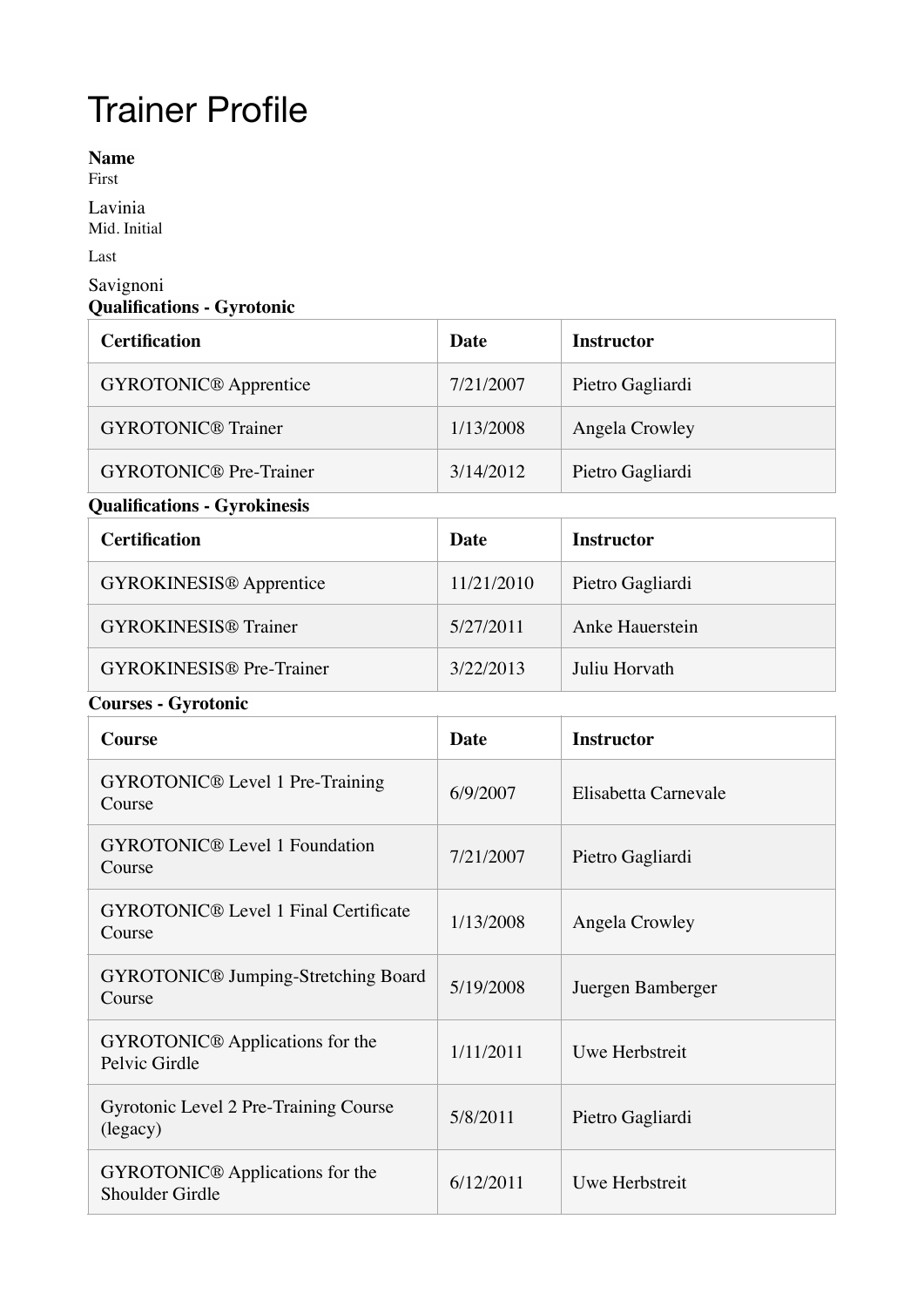## Trainer Profile

**Name**

First

Lavinia

Mid. Initial

Last

## Savignoni **Qualifications - Gyrotonic**

| <b>Certification</b>          | Date      | <b>Instructor</b> |
|-------------------------------|-----------|-------------------|
| <b>GYROTONIC®</b> Apprentice  | 7/21/2007 | Pietro Gagliardi  |
| <b>GYROTONIC®</b> Trainer     | 1/13/2008 | Angela Crowley    |
| <b>GYROTONIC®</b> Pre-Trainer | 3/14/2012 | Pietro Gagliardi  |

## **Qualifications - Gyrokinesis**

| <b>Certification</b>            | Date       | <b>Instructor</b> |
|---------------------------------|------------|-------------------|
| <b>GYROKINESIS®</b> Apprentice  | 11/21/2010 | Pietro Gagliardi  |
| <b>GYROKINESIS®</b> Trainer     | 5/27/2011  | Anke Hauerstein   |
| <b>GYROKINESIS®</b> Pre-Trainer | 3/22/2013  | Juliu Horvath     |

## **Courses - Gyrotonic**

| <b>Course</b>                                                | <b>Date</b> | <b>Instructor</b>    |
|--------------------------------------------------------------|-------------|----------------------|
| GYROTONIC <sup>®</sup> Level 1 Pre-Training<br>Course        | 6/9/2007    | Elisabetta Carnevale |
| <b>GYROTONIC®</b> Level 1 Foundation<br>Course               | 7/21/2007   | Pietro Gagliardi     |
| <b>GYROTONIC®</b> Level 1 Final Certificate<br>Course        | 1/13/2008   | Angela Crowley       |
| <b>GYROTONIC®</b> Jumping-Stretching Board<br>Course         | 5/19/2008   | Juergen Bamberger    |
| GYROTONIC <sup>®</sup> Applications for the<br>Pelvic Girdle | 1/11/2011   | Uwe Herbstreit       |
| Gyrotonic Level 2 Pre-Training Course<br>(legacy)            | 5/8/2011    | Pietro Gagliardi     |
| <b>GYROTONIC®</b> Applications for the<br>Shoulder Girdle    | 6/12/2011   | Uwe Herbstreit       |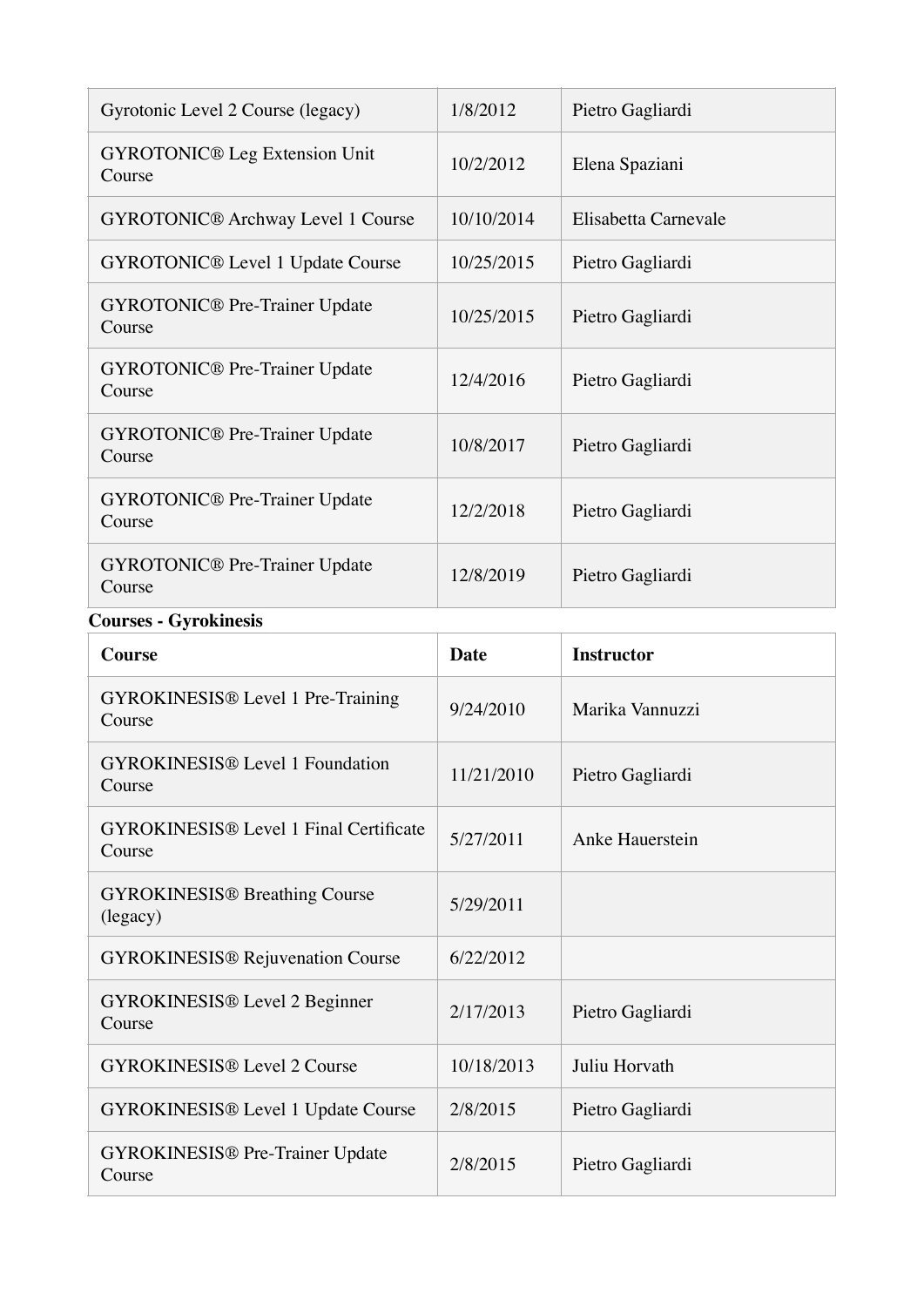| Gyrotonic Level 2 Course (legacy)                       | 1/8/2012    | Pietro Gagliardi     |  |
|---------------------------------------------------------|-------------|----------------------|--|
| <b>GYROTONIC®</b> Leg Extension Unit<br>Course          | 10/2/2012   | Elena Spaziani       |  |
| <b>GYROTONIC®</b> Archway Level 1 Course                | 10/10/2014  | Elisabetta Carnevale |  |
| <b>GYROTONIC®</b> Level 1 Update Course                 | 10/25/2015  | Pietro Gagliardi     |  |
| <b>GYROTONIC®</b> Pre-Trainer Update<br>Course          | 10/25/2015  | Pietro Gagliardi     |  |
| <b>GYROTONIC®</b> Pre-Trainer Update<br>Course          | 12/4/2016   | Pietro Gagliardi     |  |
| <b>GYROTONIC®</b> Pre-Trainer Update<br>Course          | 10/8/2017   | Pietro Gagliardi     |  |
| <b>GYROTONIC®</b> Pre-Trainer Update<br>Course          | 12/2/2018   | Pietro Gagliardi     |  |
| <b>GYROTONIC®</b> Pre-Trainer Update<br>Course          | 12/8/2019   | Pietro Gagliardi     |  |
| <b>Courses - Gyrokinesis</b>                            |             |                      |  |
| <b>Course</b>                                           | <b>Date</b> | <b>Instructor</b>    |  |
| <b>GYROKINESIS®</b> Level 1 Pre-Training<br>Course      | 9/24/2010   | Marika Vannuzzi      |  |
| <b>GYROKINESIS®</b> Level 1 Foundation<br>Course        | 11/21/2010  | Pietro Gagliardi     |  |
| <b>GYROKINESIS®</b> Level 1 Final Certificate<br>Course | 5/27/2011   | Anke Hauerstein      |  |
| <b>GYROKINESIS®</b> Breathing Course<br>(legacy)        | 5/29/2011   |                      |  |
|                                                         |             |                      |  |

GYROKINESIS® Rejuvenation Course 6/22/2012

GYROKINESIS® Pre-Trainer Update

GYROKINESIS® Level 2 Beginner Course 2/17/2013 Pietro Gagliardi

GYROKINESIS® Level 2 Course 10/18/2013 Juliu Horvath

GYROKINESIS® Level 1 Update Course 2/8/2015 Pietro Gagliardi

2/8/2015 Pietro Gagliardi